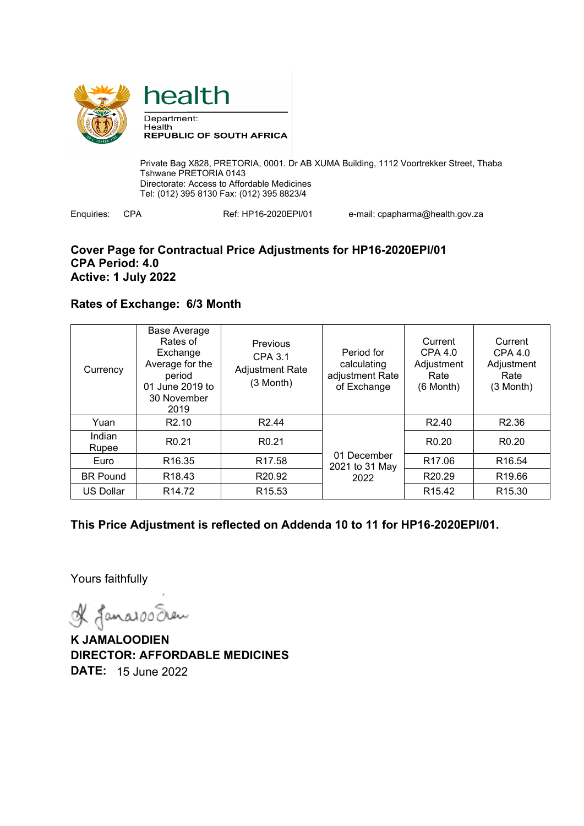



Private Bag X828, PRETORIA, 0001. Dr AB XUMA Building, 1112 Voortrekker Street, Thaba Tshwane PRETORIA 0143 Directorate: Access to Affordable Medicines Tel: (012) 395 8130 Fax: (012) 395 8823/4

Enquiries: CPA Ref: HP16-2020EPI/01 e-mail: cpapharma@health.gov.za

### **Cover Page for Contractual Price Adjustments for HP16-2020EPI/01 CPA Period: 4.0 Active: 1 July 2022**

## **Rates of Exchange: 6/3 Month**

| Currency         | <b>Base Average</b><br>Rates of<br>Exchange<br>Average for the<br>period<br>01 June 2019 to<br>30 November<br>2019 | <b>Previous</b><br>CPA 3.1<br><b>Adjustment Rate</b><br>$(3 \text{ Month})$ | Period for<br>calculating<br>adjustment Rate<br>of Exchange | Current<br>CPA 4.0<br>Adjustment<br>Rate<br>$(6$ Month $)$ | Current<br>CPA 4.0<br>Adjustment<br>Rate<br>(3 Month) |
|------------------|--------------------------------------------------------------------------------------------------------------------|-----------------------------------------------------------------------------|-------------------------------------------------------------|------------------------------------------------------------|-------------------------------------------------------|
| Yuan             | R <sub>2.10</sub>                                                                                                  | R <sub>2.44</sub>                                                           | 01 December<br>2021 to 31 May<br>2022                       | R <sub>2.40</sub>                                          | R <sub>2.36</sub>                                     |
| Indian<br>Rupee  | R <sub>0.21</sub>                                                                                                  | R <sub>0.21</sub>                                                           |                                                             | R <sub>0.20</sub>                                          | R <sub>0.20</sub>                                     |
| Euro             | R <sub>16.35</sub>                                                                                                 | R <sub>17.58</sub>                                                          |                                                             | R <sub>17.06</sub>                                         | R <sub>16.54</sub>                                    |
| <b>BR Pound</b>  | R <sub>18.43</sub>                                                                                                 | R <sub>20.92</sub>                                                          |                                                             | R <sub>20.29</sub>                                         | R <sub>19.66</sub>                                    |
| <b>US Dollar</b> | R <sub>14.72</sub>                                                                                                 | R <sub>15.53</sub>                                                          |                                                             | R <sub>15.42</sub>                                         | R <sub>15.30</sub>                                    |

**This Price Adjustment is reflected on Addenda 10 to 11 for HP16-2020EPI/01.** 

Yours faithfully

& Janaroo Seen

**K JAMALOODIEN DIRECTOR: AFFORDABLE MEDICINES DATE:** 15 June 2022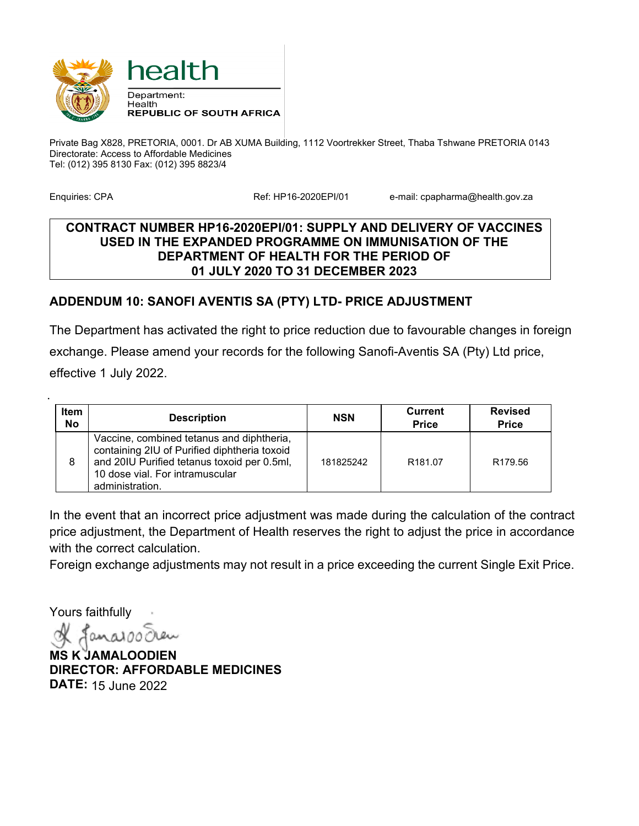

Private Bag X828, PRETORIA, 0001. Dr AB XUMA Building, 1112 Voortrekker Street, Thaba Tshwane PRETORIA 0143 Directorate: Access to Affordable Medicines Tel: (012) 395 8130 Fax: (012) 395 8823/4

.

Enquiries: CPA **Ref: HP16-2020EPI/01** e-mail: cpapharma@health.gov.za

#### **CONTRACT NUMBER HP16-2020EPI/01: SUPPLY AND DELIVERY OF VACCINES USED IN THE EXPANDED PROGRAMME ON IMMUNISATION OF THE DEPARTMENT OF HEALTH FOR THE PERIOD OF 01 JULY 2020 TO 31 DECEMBER 2023**

## **ADDENDUM 10: SANOFI AVENTIS SA (PTY) LTD- PRICE ADJUSTMENT**

The Department has activated the right to price reduction due to favourable changes in foreign exchange. Please amend your records for the following Sanofi-Aventis SA (Pty) Ltd price, effective 1 July 2022.

| Item<br><b>No</b> | <b>Description</b>                                                                                                                                                                             | <b>NSN</b> | Current<br><b>Price</b> | <b>Revised</b><br><b>Price</b> |
|-------------------|------------------------------------------------------------------------------------------------------------------------------------------------------------------------------------------------|------------|-------------------------|--------------------------------|
|                   | Vaccine, combined tetanus and diphtheria,<br>containing 2IU of Purified diphtheria toxoid<br>and 20IU Purified tetanus toxoid per 0.5ml,<br>10 dose vial. For intramuscular<br>administration. | 181825242  | R <sub>181.07</sub>     | R <sub>179.56</sub>            |

In the event that an incorrect price adjustment was made during the calculation of the contract price adjustment, the Department of Health reserves the right to adjust the price in accordance with the correct calculation.

Foreign exchange adjustments may not result in a price exceeding the current Single Exit Price.

Yours faithfully

anal

**MS K JAMALOODIEN DIRECTOR: AFFORDABLE MEDICINES DATE:** 15 June 2022